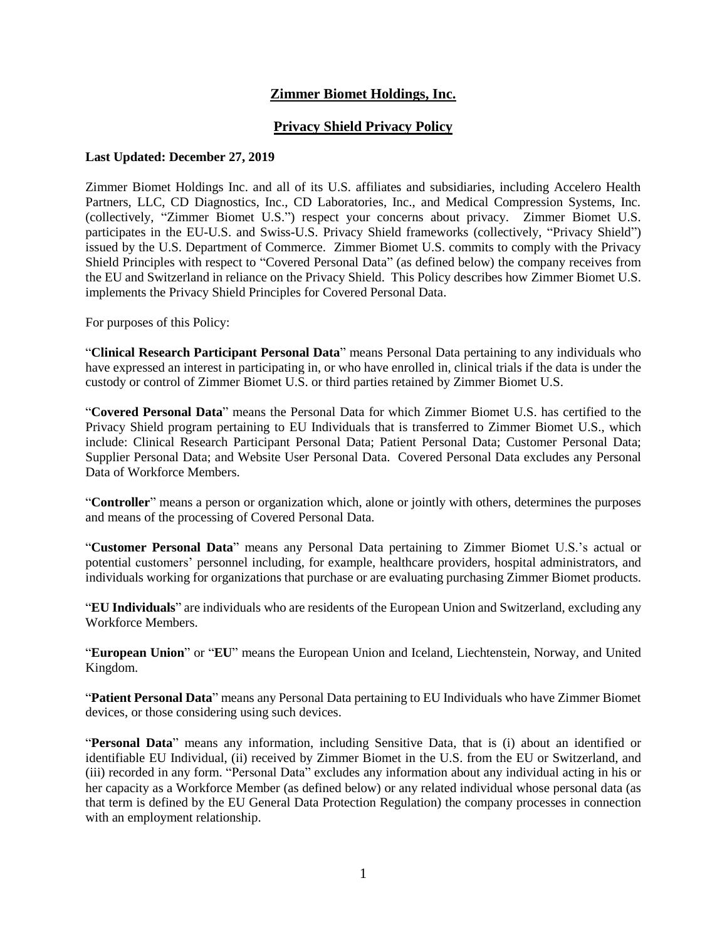# **Zimmer Biomet Holdings, Inc.**

## **Privacy Shield Privacy Policy**

### **Last Updated: December 27, 2019**

Zimmer Biomet Holdings Inc. and all of its U.S. affiliates and subsidiaries, including Accelero Health Partners, LLC, CD Diagnostics, Inc., CD Laboratories, Inc., and Medical Compression Systems, Inc. (collectively, "Zimmer Biomet U.S.") respect your concerns about privacy. Zimmer Biomet U.S. participates in the EU-U.S. and Swiss-U.S. Privacy Shield frameworks (collectively, "Privacy Shield") issued by the U.S. Department of Commerce. Zimmer Biomet U.S. commits to comply with the Privacy Shield Principles with respect to "Covered Personal Data" (as defined below) the company receives from the EU and Switzerland in reliance on the Privacy Shield. This Policy describes how Zimmer Biomet U.S. implements the Privacy Shield Principles for Covered Personal Data.

For purposes of this Policy:

"**Clinical Research Participant Personal Data**" means Personal Data pertaining to any individuals who have expressed an interest in participating in, or who have enrolled in, clinical trials if the data is under the custody or control of Zimmer Biomet U.S. or third parties retained by Zimmer Biomet U.S.

"**Covered Personal Data**" means the Personal Data for which Zimmer Biomet U.S. has certified to the Privacy Shield program pertaining to EU Individuals that is transferred to Zimmer Biomet U.S., which include: Clinical Research Participant Personal Data; Patient Personal Data; Customer Personal Data; Supplier Personal Data; and Website User Personal Data. Covered Personal Data excludes any Personal Data of Workforce Members.

"**Controller**" means a person or organization which, alone or jointly with others, determines the purposes and means of the processing of Covered Personal Data.

"**Customer Personal Data**" means any Personal Data pertaining to Zimmer Biomet U.S.'s actual or potential customers' personnel including, for example, healthcare providers, hospital administrators, and individuals working for organizations that purchase or are evaluating purchasing Zimmer Biomet products.

"**EU Individuals**" are individuals who are residents of the European Union and Switzerland, excluding any Workforce Members.

"**European Union**" or "**EU**" means the European Union and Iceland, Liechtenstein, Norway, and United Kingdom.

"**Patient Personal Data**" means any Personal Data pertaining to EU Individuals who have Zimmer Biomet devices, or those considering using such devices.

"**Personal Data**" means any information, including Sensitive Data, that is (i) about an identified or identifiable EU Individual, (ii) received by Zimmer Biomet in the U.S. from the EU or Switzerland, and (iii) recorded in any form. "Personal Data" excludes any information about any individual acting in his or her capacity as a Workforce Member (as defined below) or any related individual whose personal data (as that term is defined by the EU General Data Protection Regulation) the company processes in connection with an employment relationship.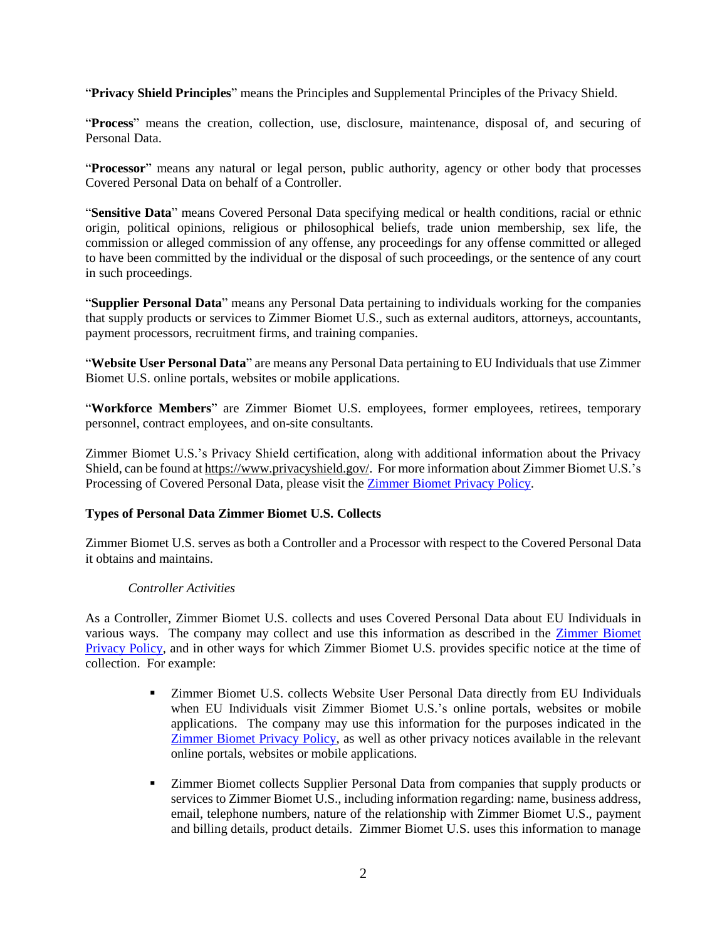"**Privacy Shield Principles**" means the Principles and Supplemental Principles of the Privacy Shield.

"**Process**" means the creation, collection, use, disclosure, maintenance, disposal of, and securing of Personal Data.

"**Processor**" means any natural or legal person, public authority, agency or other body that processes Covered Personal Data on behalf of a Controller.

"**Sensitive Data**" means Covered Personal Data specifying medical or health conditions, racial or ethnic origin, political opinions, religious or philosophical beliefs, trade union membership, sex life, the commission or alleged commission of any offense, any proceedings for any offense committed or alleged to have been committed by the individual or the disposal of such proceedings, or the sentence of any court in such proceedings.

"**Supplier Personal Data**" means any Personal Data pertaining to individuals working for the companies that supply products or services to Zimmer Biomet U.S., such as external auditors, attorneys, accountants, payment processors, recruitment firms, and training companies.

"**Website User Personal Data**" are means any Personal Data pertaining to EU Individuals that use Zimmer Biomet U.S. online portals, websites or mobile applications.

"**Workforce Members**" are Zimmer Biomet U.S. employees, former employees, retirees, temporary personnel, contract employees, and on-site consultants.

Zimmer Biomet U.S.'s Privacy Shield certification, along with additional information about the Privacy Shield, can be found a[t https://www.privacyshield.gov/.](https://www.privacyshield.gov/) For more information about Zimmer Biomet U.S.'s Processing of Covered Personal Data, please visit the [Zimmer Biomet Privacy Policy.](https://www.zimmerbiomet.com/privacy-policy.html)

## **Types of Personal Data Zimmer Biomet U.S. Collects**

Zimmer Biomet U.S. serves as both a Controller and a Processor with respect to the Covered Personal Data it obtains and maintains.

## *Controller Activities*

As a Controller, Zimmer Biomet U.S. collects and uses Covered Personal Data about EU Individuals in various ways. The company may collect and use this information as described in the **Zimmer Biomet** [Privacy Policy,](https://www.zimmerbiomet.com/privacy-policy.html) and in other ways for which Zimmer Biomet U.S. provides specific notice at the time of collection. For example:

- Zimmer Biomet U.S. collects Website User Personal Data directly from EU Individuals when EU Individuals visit Zimmer Biomet U.S.'s online portals, websites or mobile applications. The company may use this information for the purposes indicated in the [Zimmer Biomet Privacy Policy,](https://www.zimmerbiomet.com/privacy-policy.html) as well as other privacy notices available in the relevant online portals, websites or mobile applications.
- **EXECUTE:** Zimmer Biomet collects Supplier Personal Data from companies that supply products or services to Zimmer Biomet U.S., including information regarding: name, business address, email, telephone numbers, nature of the relationship with Zimmer Biomet U.S., payment and billing details, product details. Zimmer Biomet U.S. uses this information to manage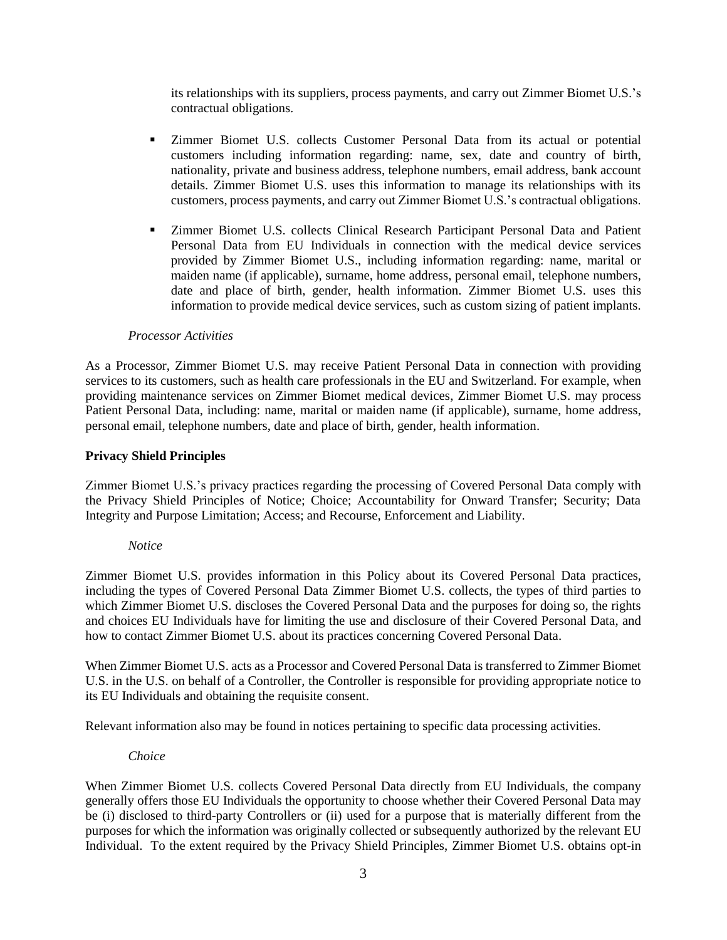its relationships with its suppliers, process payments, and carry out Zimmer Biomet U.S.'s contractual obligations.

- Zimmer Biomet U.S. collects Customer Personal Data from its actual or potential customers including information regarding: name, sex, date and country of birth, nationality, private and business address, telephone numbers, email address, bank account details. Zimmer Biomet U.S. uses this information to manage its relationships with its customers, process payments, and carry out Zimmer Biomet U.S.'s contractual obligations.
- Zimmer Biomet U.S. collects Clinical Research Participant Personal Data and Patient Personal Data from EU Individuals in connection with the medical device services provided by Zimmer Biomet U.S., including information regarding: name, marital or maiden name (if applicable), surname, home address, personal email, telephone numbers, date and place of birth, gender, health information. Zimmer Biomet U.S. uses this information to provide medical device services, such as custom sizing of patient implants.

### *Processor Activities*

As a Processor, Zimmer Biomet U.S. may receive Patient Personal Data in connection with providing services to its customers, such as health care professionals in the EU and Switzerland. For example, when providing maintenance services on Zimmer Biomet medical devices, Zimmer Biomet U.S. may process Patient Personal Data, including: name, marital or maiden name (if applicable), surname, home address, personal email, telephone numbers, date and place of birth, gender, health information.

### **Privacy Shield Principles**

Zimmer Biomet U.S.'s privacy practices regarding the processing of Covered Personal Data comply with the Privacy Shield Principles of Notice; Choice; Accountability for Onward Transfer; Security; Data Integrity and Purpose Limitation; Access; and Recourse, Enforcement and Liability.

#### *Notice*

Zimmer Biomet U.S. provides information in this Policy about its Covered Personal Data practices, including the types of Covered Personal Data Zimmer Biomet U.S. collects, the types of third parties to which Zimmer Biomet U.S. discloses the Covered Personal Data and the purposes for doing so, the rights and choices EU Individuals have for limiting the use and disclosure of their Covered Personal Data, and how to contact Zimmer Biomet U.S. about its practices concerning Covered Personal Data.

When Zimmer Biomet U.S. acts as a Processor and Covered Personal Data is transferred to Zimmer Biomet U.S. in the U.S. on behalf of a Controller, the Controller is responsible for providing appropriate notice to its EU Individuals and obtaining the requisite consent.

Relevant information also may be found in notices pertaining to specific data processing activities.

#### *Choice*

When Zimmer Biomet U.S. collects Covered Personal Data directly from EU Individuals, the company generally offers those EU Individuals the opportunity to choose whether their Covered Personal Data may be (i) disclosed to third-party Controllers or (ii) used for a purpose that is materially different from the purposes for which the information was originally collected or subsequently authorized by the relevant EU Individual. To the extent required by the Privacy Shield Principles, Zimmer Biomet U.S. obtains opt-in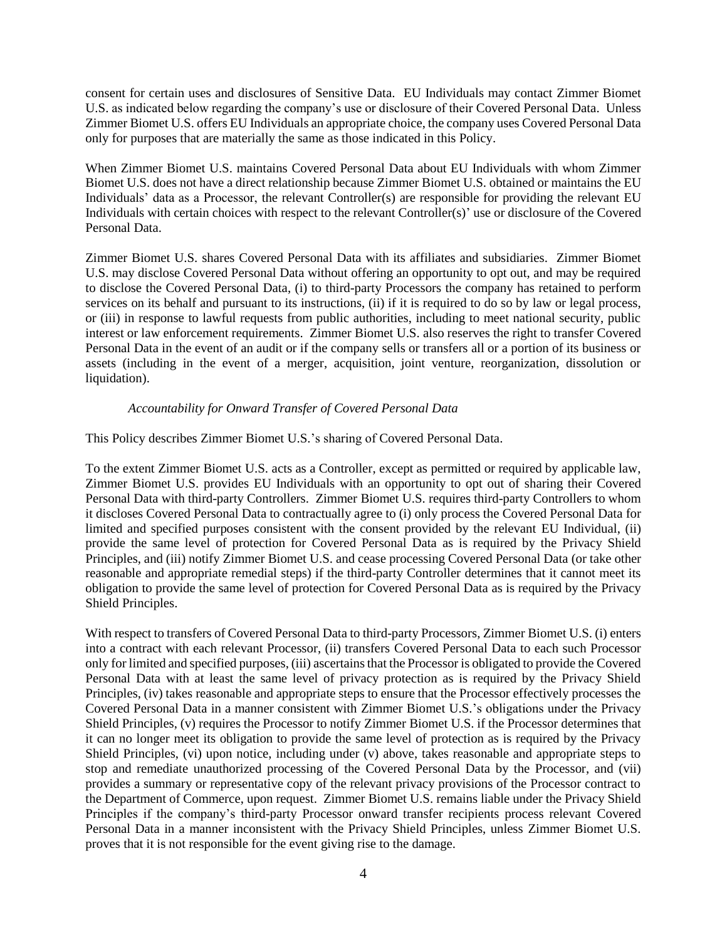consent for certain uses and disclosures of Sensitive Data. EU Individuals may contact Zimmer Biomet U.S. as indicated below regarding the company's use or disclosure of their Covered Personal Data. Unless Zimmer Biomet U.S. offers EU Individuals an appropriate choice, the company uses Covered Personal Data only for purposes that are materially the same as those indicated in this Policy.

When Zimmer Biomet U.S. maintains Covered Personal Data about EU Individuals with whom Zimmer Biomet U.S. does not have a direct relationship because Zimmer Biomet U.S. obtained or maintains the EU Individuals' data as a Processor, the relevant Controller(s) are responsible for providing the relevant EU Individuals with certain choices with respect to the relevant Controller(s)' use or disclosure of the Covered Personal Data.

Zimmer Biomet U.S. shares Covered Personal Data with its affiliates and subsidiaries. Zimmer Biomet U.S. may disclose Covered Personal Data without offering an opportunity to opt out, and may be required to disclose the Covered Personal Data, (i) to third-party Processors the company has retained to perform services on its behalf and pursuant to its instructions, (ii) if it is required to do so by law or legal process, or (iii) in response to lawful requests from public authorities, including to meet national security, public interest or law enforcement requirements. Zimmer Biomet U.S. also reserves the right to transfer Covered Personal Data in the event of an audit or if the company sells or transfers all or a portion of its business or assets (including in the event of a merger, acquisition, joint venture, reorganization, dissolution or liquidation).

## *Accountability for Onward Transfer of Covered Personal Data*

This Policy describes Zimmer Biomet U.S.'s sharing of Covered Personal Data.

To the extent Zimmer Biomet U.S. acts as a Controller, except as permitted or required by applicable law, Zimmer Biomet U.S. provides EU Individuals with an opportunity to opt out of sharing their Covered Personal Data with third-party Controllers. Zimmer Biomet U.S. requires third-party Controllers to whom it discloses Covered Personal Data to contractually agree to (i) only process the Covered Personal Data for limited and specified purposes consistent with the consent provided by the relevant EU Individual, (ii) provide the same level of protection for Covered Personal Data as is required by the Privacy Shield Principles, and (iii) notify Zimmer Biomet U.S. and cease processing Covered Personal Data (or take other reasonable and appropriate remedial steps) if the third-party Controller determines that it cannot meet its obligation to provide the same level of protection for Covered Personal Data as is required by the Privacy Shield Principles.

With respect to transfers of Covered Personal Data to third-party Processors, Zimmer Biomet U.S. (i) enters into a contract with each relevant Processor, (ii) transfers Covered Personal Data to each such Processor only for limited and specified purposes, (iii) ascertains that the Processor is obligated to provide the Covered Personal Data with at least the same level of privacy protection as is required by the Privacy Shield Principles, (iv) takes reasonable and appropriate steps to ensure that the Processor effectively processes the Covered Personal Data in a manner consistent with Zimmer Biomet U.S.'s obligations under the Privacy Shield Principles, (v) requires the Processor to notify Zimmer Biomet U.S. if the Processor determines that it can no longer meet its obligation to provide the same level of protection as is required by the Privacy Shield Principles, (vi) upon notice, including under (v) above, takes reasonable and appropriate steps to stop and remediate unauthorized processing of the Covered Personal Data by the Processor, and (vii) provides a summary or representative copy of the relevant privacy provisions of the Processor contract to the Department of Commerce, upon request. Zimmer Biomet U.S. remains liable under the Privacy Shield Principles if the company's third-party Processor onward transfer recipients process relevant Covered Personal Data in a manner inconsistent with the Privacy Shield Principles, unless Zimmer Biomet U.S. proves that it is not responsible for the event giving rise to the damage.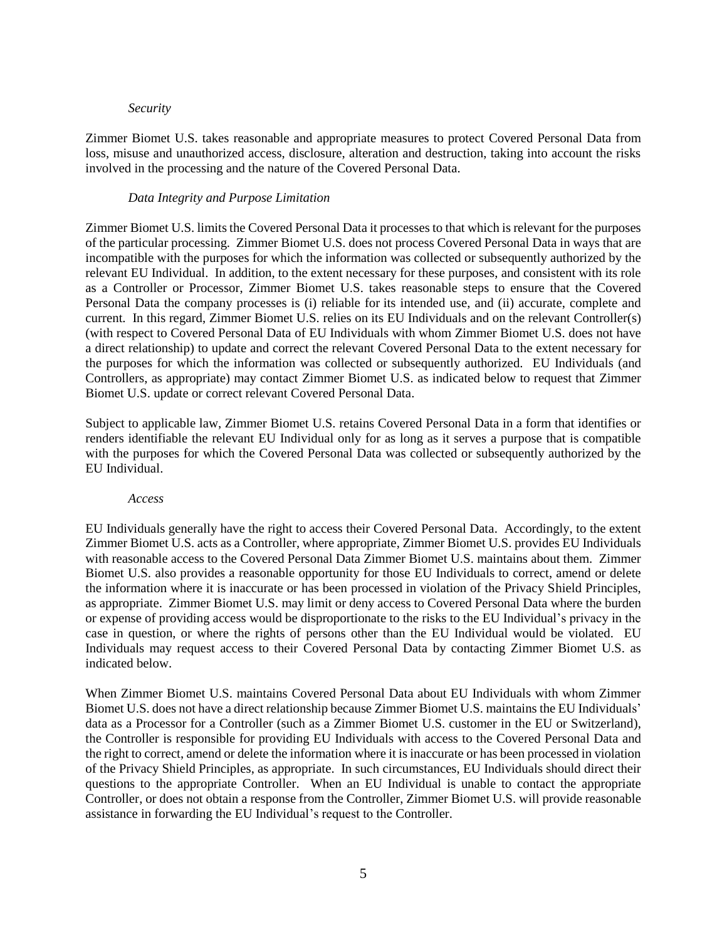#### *Security*

Zimmer Biomet U.S. takes reasonable and appropriate measures to protect Covered Personal Data from loss, misuse and unauthorized access, disclosure, alteration and destruction, taking into account the risks involved in the processing and the nature of the Covered Personal Data.

#### *Data Integrity and Purpose Limitation*

Zimmer Biomet U.S. limits the Covered Personal Data it processes to that which is relevant for the purposes of the particular processing. Zimmer Biomet U.S. does not process Covered Personal Data in ways that are incompatible with the purposes for which the information was collected or subsequently authorized by the relevant EU Individual. In addition, to the extent necessary for these purposes, and consistent with its role as a Controller or Processor, Zimmer Biomet U.S. takes reasonable steps to ensure that the Covered Personal Data the company processes is (i) reliable for its intended use, and (ii) accurate, complete and current. In this regard, Zimmer Biomet U.S. relies on its EU Individuals and on the relevant Controller(s) (with respect to Covered Personal Data of EU Individuals with whom Zimmer Biomet U.S. does not have a direct relationship) to update and correct the relevant Covered Personal Data to the extent necessary for the purposes for which the information was collected or subsequently authorized. EU Individuals (and Controllers, as appropriate) may contact Zimmer Biomet U.S. as indicated below to request that Zimmer Biomet U.S. update or correct relevant Covered Personal Data.

Subject to applicable law, Zimmer Biomet U.S. retains Covered Personal Data in a form that identifies or renders identifiable the relevant EU Individual only for as long as it serves a purpose that is compatible with the purposes for which the Covered Personal Data was collected or subsequently authorized by the EU Individual.

#### *Access*

EU Individuals generally have the right to access their Covered Personal Data. Accordingly, to the extent Zimmer Biomet U.S. acts as a Controller, where appropriate, Zimmer Biomet U.S. provides EU Individuals with reasonable access to the Covered Personal Data Zimmer Biomet U.S. maintains about them. Zimmer Biomet U.S. also provides a reasonable opportunity for those EU Individuals to correct, amend or delete the information where it is inaccurate or has been processed in violation of the Privacy Shield Principles, as appropriate. Zimmer Biomet U.S. may limit or deny access to Covered Personal Data where the burden or expense of providing access would be disproportionate to the risks to the EU Individual's privacy in the case in question, or where the rights of persons other than the EU Individual would be violated. EU Individuals may request access to their Covered Personal Data by contacting Zimmer Biomet U.S. as indicated below.

When Zimmer Biomet U.S. maintains Covered Personal Data about EU Individuals with whom Zimmer Biomet U.S. does not have a direct relationship because Zimmer Biomet U.S. maintains the EU Individuals' data as a Processor for a Controller (such as a Zimmer Biomet U.S. customer in the EU or Switzerland), the Controller is responsible for providing EU Individuals with access to the Covered Personal Data and the right to correct, amend or delete the information where it is inaccurate or has been processed in violation of the Privacy Shield Principles, as appropriate. In such circumstances, EU Individuals should direct their questions to the appropriate Controller. When an EU Individual is unable to contact the appropriate Controller, or does not obtain a response from the Controller, Zimmer Biomet U.S. will provide reasonable assistance in forwarding the EU Individual's request to the Controller.